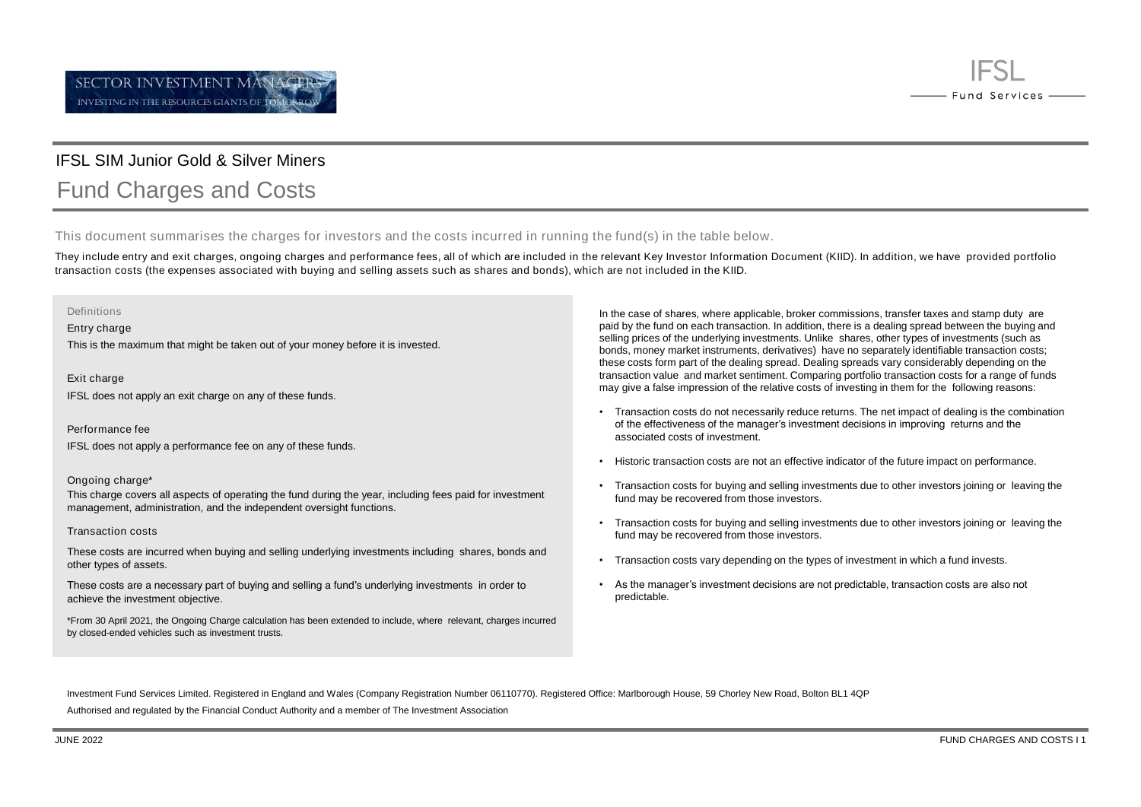

## IFSL SIM Junior Gold & Silver Miners

# Fund Charges and Costs

This document summarises the charges for investors and the costs incurred in running the fund(s) in the table below.

They include entry and exit charges, ongoing charges and performance fees, all of which are included in the relevant Key Investor Information Document (KIID). In addition, we have provided portfolio transaction costs (the expenses associated with buying and selling assets such as shares and bonds), which are not included in the KIID.

#### Definitions

Entry charge

This is the maximum that might be taken out of your money before it is invested.

Exit charge IFSL does not apply an exit charge on any of these funds.

Performance fee

IFSL does not apply a performance fee on any of these funds.

#### Ongoing charge\*

This charge covers all aspects of operating the fund during the year, including fees paid for investment management, administration, and the independent oversight functions.

#### Transaction costs

These costs are incurred when buying and selling underlying investments including shares, bonds and other types of assets.

These costs are a necessary part of buying and selling a fund's underlying investments in order to achieve the investment objective.

\*From 30 April 2021, the Ongoing Charge calculation has been extended to include, where relevant, charges incurred by closed-ended vehicles such as investment trusts.

In the case of shares, where applicable, broker commissions, transfer taxes and stamp duty are paid by the fund on each transaction. In addition, there is a dealing spread between the buying and selling prices of the underlying investments. Unlike shares, other types of investments (such as bonds, money market instruments, derivatives) have no separately identifiable transaction costs; these costs form part of the dealing spread. Dealing spreads vary considerably depending on the transaction value and market sentiment. Comparing portfolio transaction costs for a range of funds may give a false impression of the relative costs of investing in them for the following reasons:

- Transaction costs do not necessarily reduce returns. The net impact of dealing is the combination of the effectiveness of the manager's investment decisions in improving returns and the associated costs of investment.
- Historic transaction costs are not an effective indicator of the future impact on performance.
- Transaction costs for buying and selling investments due to other investors joining or leaving the fund may be recovered from those investors.
- Transaction costs for buying and selling investments due to other investors joining or leaving the fund may be recovered from those investors.
- Transaction costs vary depending on the types of investment in which a fund invests.
- As the manager's investment decisions are not predictable, transaction costs are also not predictable.

Investment Fund Services Limited. Registered in England and Wales (Company Registration Number 06110770). Registered Office: Marlborough House, 59 Chorley New Road, Bolton BL1 4QP

Authorised and regulated by the Financial Conduct Authority and a member of The Investment Association